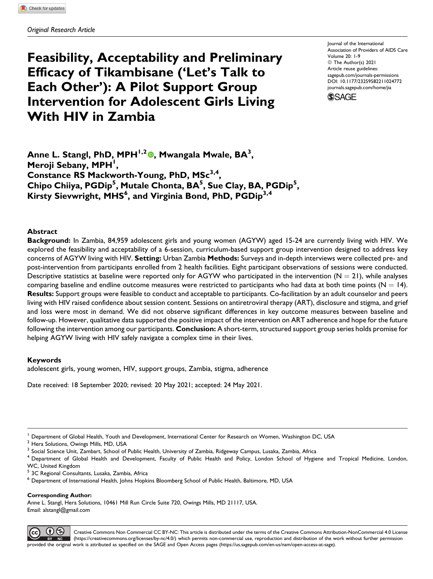# **Feasibility, Acceptability and Preliminary Efficacy of Tikambisane ('Let's Talk to Each Other'): A Pilot Support Group Intervention for Adolescent Girls Living With HIV in Zambia**

Journal of the International Association of Providers of AIDS Care Volume 20: 1-9 © The Author(s) 2021 Article reuse guidelines: [sagepub.com/journals-permissions](https://sagepub.com/journals-permissions) [DOI: 10.1177/23259582211024772](https://doi.org/10.1177/23259582211024772) [journals.sagepub.com/home/jia](http://journals.sagepub.com/home/jia)

**SSAGE** 

**Anne L. Stangl, PhD, MPH1,2 [,](https://orcid.org/0000-0001-9325-5077) Mwangala Mwale, BA<sup>3</sup> , Meroji Sebany, MPH<sup>1</sup> , Constance RS Mackworth-Young, PhD, MSc3,4, Chipo Chiiya, PGDip<sup>5</sup> , Mutale Chonta, BA<sup>5</sup> , Sue Clay, BA, PGDip<sup>5</sup> , Kirsty Sievwright, MHS<sup>6</sup> , and Virginia Bond, PhD, PGDip3,4**

## **Abstract**

**Background:** In Zambia, 84,959 adolescent girls and young women (AGYW) aged 15-24 are currently living with HIV. We explored the feasibility and acceptability of a 6-session, curriculum-based support group intervention designed to address key concerns of AGYW living with HIV. **Setting:** Urban Zambia **Methods:** Surveys and in-depth interviews were collected pre- and post-intervention from participants enrolled from 2 health facilities. Eight participant observations of sessions were conducted. Descriptive statistics at baseline were reported only for AGYW who participated in the intervention  $(N = 21)$ , while analyses comparing baseline and endline outcome measures were restricted to participants who had data at both time points ( $N = 14$ ). **Results:** Support groups were feasible to conduct and acceptable to participants. Co-facilitation by an adult counselor and peers living with HIV raised confidence about session content. Sessions on antiretroviral therapy (ART), disclosure and stigma, and grief and loss were most in demand. We did not observe significant differences in key outcome measures between baseline and follow-up. However, qualitative data supported the positive impact of the intervention on ART adherence and hope for the future following the intervention among our participants. **Conclusion:** A short-term, structured support group series holds promise for helping AGYW living with HIV safely navigate a complex time in their lives.

## **Keywords**

adolescent girls, young women, HIV, support groups, Zambia, stigma, adherence

Date received: 18 September 2020; revised: 20 May 2021; accepted: 24 May 2021.

<sup>5</sup> 3C Regional Consultants, Lusaka, Zambia, Africa

**Corresponding Author:**

Anne L. Stangl, Hera Solutions, 10461 Mill Run Circle Suite 720, Owings Mills, MD 21117, USA. Email: [alstangl@gmail.com](mailto:alstangl@gmail.com)



Creative Commons Non Commercial CC BY-NC: This article is distributed under the terms of the Creative Commons Attribution-NonCommercial 4.0 License ([https://creativecommons.org/licenses/by-nc/4.0/\)](https://creativecommons.org/licenses/by-nc/4.0/) which permits non-commercial use, reproduction and distribution of the work without further permission provided the original work is attributed as specified on the SAGE and Open Access pages (<https://us.sagepub.com/en-us/nam/open-access-at-sage>).

<sup>1</sup> Department of Global Health, Youth and Development, International Center for Research on Women, Washington DC, USA

<sup>2</sup> Hera Solutions, Owings Mills, MD, USA

 $3$  Social Science Unit, Zambart, School of Public Health, University of Zambia, Ridgeway Campus, Lusaka, Zambia, Africa

<sup>&</sup>lt;sup>4</sup> Department of Global Health and Development, Faculty of Public Health and Policy, London School of Hygiene and Tropical Medicine, London, WC, United Kingdom

<sup>6</sup> Department of International Health, Johns Hopkins Bloomberg School of Public Health, Baltimore, MD, USA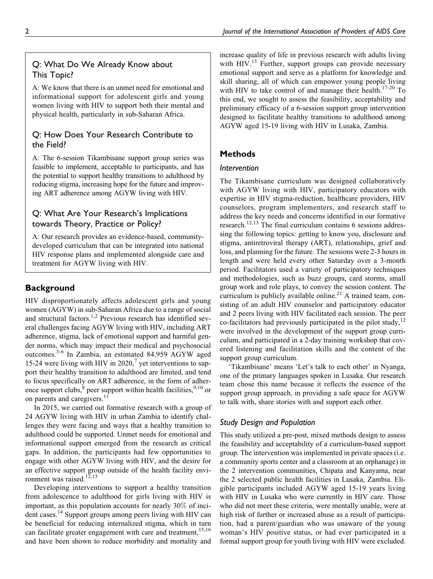# Q: What Do We Already Know about This Topic?

A: We know that there is an unmet need for emotional and informational support for adolescent girls and young women living with HIV to support both their mental and physical health, particularly in sub-Saharan Africa.

# Q: How Does Your Research Contribute to the Field?

A: The 6-session Tikambisane support group series was feasible to implement, acceptable to participants, and has the potential to support healthy transitions to adulthood by reducing stigma, increasing hope for the future and improving ART adherence among AGYW living with HIV.

# Q: What Are Your Research's Implications towards Theory, Practice or Policy?

A: Our research provides an evidence-based, communitydeveloped curriculum that can be integrated into national HIV response plans and implemented alongside care and treatment for AGYW living with HIV.

# **Background**

HIV disproportionately affects adolescent girls and young women (AGYW) in sub-Saharan Africa due to a range of social and structural factors.<sup>1,2</sup> Previous research has identified several challenges facing AGYW living with HIV, including ART adherence, stigma, lack of emotional support and harmful gender norms, which may impact their medical and psychosocial outcomes.3-6 In Zambia, an estimated 84,959 AGYW aged 15-24 were living with HIV in  $2020<sup>7</sup>$  yet interventions to support their healthy transition to adulthood are limited, and tend to focus specifically on ART adherence, in the form of adherence support clubs, $8$  peer support within health facilities,  $9,10$  or on parents and caregivers.<sup>11</sup>

In 2015, we carried out formative research with a group of 24 AGYW living with HIV in urban Zambia to identify challenges they were facing and ways that a healthy transition to adulthood could be supported. Unmet needs for emotional and informational support emerged from the research as critical gaps. In addition, the participants had few opportunities to engage with other AGYW living with HIV, and the desire for an effective support group outside of the health facility environment was raised.<sup>12,13</sup>

Developing interventions to support a healthy transition from adolescence to adulthood for girls living with HIV is important, as this population accounts for nearly 30% of incident cases.<sup>14</sup> Support groups among peers living with HIV can be beneficial for reducing internalized stigma, which in turn can facilitate greater engagement with care and treatment,<sup>15,16</sup> and have been shown to reduce morbidity and mortality and increase quality of life in previous research with adults living with  $HIV.<sup>15</sup>$  Further, support groups can provide necessary emotional support and serve as a platform for knowledge and skill sharing, all of which can empower young people living with HIV to take control of and manage their health.<sup>17-20</sup> To this end, we sought to assess the feasibility, acceptability and preliminary efficacy of a 6-session support group intervention designed to facilitate healthy transitions to adulthood among AGYW aged 15-19 living with HIV in Lusaka, Zambia.

# **Methods**

## *Intervention*

The Tikambisane curriculum was designed collaboratively with AGYW living with HIV, participatory educators with expertise in HIV stigma-reduction, healthcare providers, HIV counselors, program implementers, and research staff to address the key needs and concerns identified in our formative research.<sup>12,13</sup> The final curriculum contains 6 sessions addressing the following topics: getting to know you, disclosure and stigma, antiretroviral therapy (ART), relationships, grief and loss, and planning for the future. The sessions were 2-3 hours in length and were held every other Saturday over a 3-month period. Facilitators used a variety of participatory techniques and methodologies, such as buzz groups, card storms, small group work and role plays, to convey the session content. The curriculum is publicly available online.<sup>21</sup> A trained team, consisting of an adult HIV counselor and participatory educator and 2 peers living with HIV facilitated each session. The peer co-facilitators had previously participated in the pilot study, $12$ were involved in the development of the support group curriculum, and participated in a 2-day training workshop that covered listening and facilitation skills and the content of the support group curriculum.

'Tikambisane' means 'Let's talk to each other' in Nyanga, one of the primary languages spoken in Lusaka. Our research team chose this name because it reflects the essence of the support group approach, in providing a safe space for AGYW to talk with, share stories with and support each other.

## *Study Design and Population*

This study utilized a pre-post, mixed methods design to assess the feasibility and acceptability of a curriculum-based support group. The intervention was implemented in private spaces (i.e. a community sports center and a classroom at an orphanage) in the 2 intervention communities, Chipata and Kanyama, near the 2 selected public health facilities in Lusaka, Zambia. Eligible participants included AGYW aged 15-19 years living with HIV in Lusaka who were currently in HIV care. Those who did not meet these criteria, were mentally unable, were at high risk of further or increased abuse as a result of participation, had a parent/guardian who was unaware of the young woman's HIV positive status, or had ever participated in a formal support group for youth living with HIV were excluded.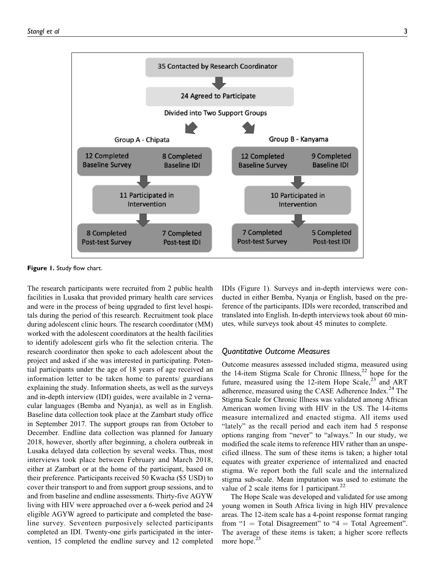

**Figure 1.** Study flow chart.

The research participants were recruited from 2 public health facilities in Lusaka that provided primary health care services and were in the process of being upgraded to first level hospitals during the period of this research. Recruitment took place during adolescent clinic hours. The research coordinator (MM) worked with the adolescent coordinators at the health facilities to identify adolescent girls who fit the selection criteria. The research coordinator then spoke to each adolescent about the project and asked if she was interested in participating. Potential participants under the age of 18 years of age received an information letter to be taken home to parents/ guardians explaining the study. Information sheets, as well as the surveys and in-depth interview (IDI) guides, were available in 2 vernacular languages (Bemba and Nyanja), as well as in English. Baseline data collection took place at the Zambart study office in September 2017. The support groups ran from October to December. Endline data collection was planned for January 2018, however, shortly after beginning, a cholera outbreak in Lusaka delayed data collection by several weeks. Thus, most interviews took place between February and March 2018, either at Zambart or at the home of the participant, based on their preference. Participants received 50 Kwacha (\$5 USD) to cover their transport to and from support group sessions, and to and from baseline and endline assessments. Thirty-five AGYW living with HIV were approached over a 6-week period and 24 eligible AGYW agreed to participate and completed the baseline survey. Seventeen purposively selected participants completed an IDI. Twenty-one girls participated in the intervention, 15 completed the endline survey and 12 completed

IDIs (Figure 1). Surveys and in-depth interviews were conducted in either Bemba, Nyanja or English, based on the preference of the participants. IDIs were recorded, transcribed and translated into English. In-depth interviews took about 60 minutes, while surveys took about 45 minutes to complete.

## *Quantitative Outcome Measures*

Outcome measures assessed included stigma, measured using the 14-item Stigma Scale for Chronic Illness,<sup>22</sup> hope for the future, measured using the 12-item Hope Scale, $^{23}$  and ART adherence, measured using the CASE Adherence Index.<sup>24</sup> The Stigma Scale for Chronic Illness was validated among African American women living with HIV in the US. The 14-items measure internalized and enacted stigma. All items used "lately" as the recall period and each item had 5 response options ranging from "never" to "always." In our study, we modified the scale items to reference HIV rather than an unspecified illness. The sum of these items is taken; a higher total equates with greater experience of internalized and enacted stigma. We report both the full scale and the internalized stigma sub-scale. Mean imputation was used to estimate the value of 2 scale items for 1 participant.<sup>22</sup>

The Hope Scale was developed and validated for use among young women in South Africa living in high HIV prevalence areas. The 12-item scale has a 4-point response format ranging from "1 = Total Disagreement" to "4 = Total Agreement". The average of these items is taken; a higher score reflects more hope.<sup>23</sup>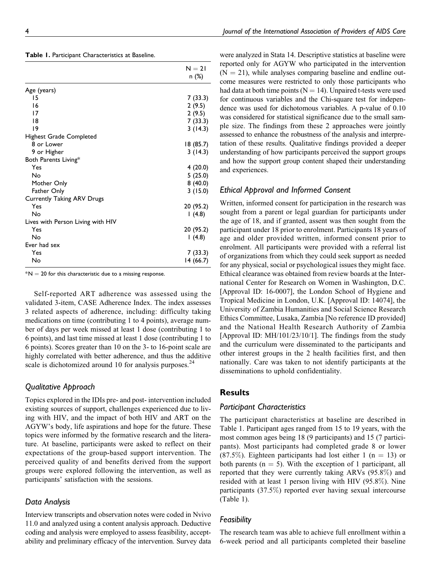|  | Table 1. Participant Characteristics at Baseline. |
|--|---------------------------------------------------|
|--|---------------------------------------------------|

|                                   | $N = 21$  |
|-----------------------------------|-----------|
|                                   | n (%)     |
| Age (years)                       |           |
| 15                                | 7 (33.3)  |
| 16                                | 2(9.5)    |
| 17                                | 2(9.5)    |
| 18                                | 7 (33.3)  |
| 9                                 | 3(14.3)   |
| Highest Grade Completed           |           |
| 8 or Lower                        | 18 (85.7) |
| 9 or Higher                       | 3(14.3)   |
| Both Parents Living*              |           |
| Yes                               | 4(20.0)   |
| No                                | 5(25.0)   |
| Mother Only                       | 8(40.0)   |
| Father Only                       | 3(15.0)   |
| <b>Currently Taking ARV Drugs</b> |           |
| Yes                               | 20 (95.2) |
| No                                | (4.8)     |
| Lives with Person Living with HIV |           |
| Yes                               | 20 (95.2) |
| No                                | (4.8)     |
| Ever had sex                      |           |
| Yes                               | 7 (33.3)  |
| No                                | 14 (66.7) |

 $*N = 20$  for this characteristic due to a missing response.

Self-reported ART adherence was assessed using the validated 3-item, CASE Adherence Index. The index assesses 3 related aspects of adherence, including: difficulty taking medications on time (contributing 1 to 4 points), average number of days per week missed at least 1 dose (contributing 1 to 6 points), and last time missed at least 1 dose (contributing 1 to 6 points). Scores greater than 10 on the 3- to 16-point scale are highly correlated with better adherence, and thus the additive scale is dichotomized around 10 for analysis purposes. $24$ 

#### *Qualitative Approach*

Topics explored in the IDIs pre- and post- intervention included existing sources of support, challenges experienced due to living with HIV, and the impact of both HIV and ART on the AGYW's body, life aspirations and hope for the future. These topics were informed by the formative research and the literature. At baseline, participants were asked to reflect on their expectations of the group-based support intervention. The perceived quality of and benefits derived from the support groups were explored following the intervention, as well as participants' satisfaction with the sessions.

## *Data Analysis*

Interview transcripts and observation notes were coded in Nvivo 11.0 and analyzed using a content analysis approach. Deductive coding and analysis were employed to assess feasibility, acceptability and preliminary efficacy of the intervention. Survey data

were analyzed in Stata 14. Descriptive statistics at baseline were reported only for AGYW who participated in the intervention  $(N = 21)$ , while analyses comparing baseline and endline outcome measures were restricted to only those participants who had data at both time points ( $N = 14$ ). Unpaired t-tests were used for continuous variables and the Chi-square test for independence was used for dichotomous variables. A p-value of 0.10 was considered for statistical significance due to the small sample size. The findings from these 2 approaches were jointly assessed to enhance the robustness of the analysis and interpretation of these results. Qualitative findings provided a deeper understanding of how participants perceived the support groups and how the support group content shaped their understanding and experiences.

## *Ethical Approval and Informed Consent*

Written, informed consent for participation in the research was sought from a parent or legal guardian for participants under the age of 18, and if granted, assent was then sought from the participant under 18 prior to enrolment. Participants 18 years of age and older provided written, informed consent prior to enrolment. All participants were provided with a referral list of organizations from which they could seek support as needed for any physical, social or psychological issues they might face. Ethical clearance was obtained from review boards at the International Center for Research on Women in Washington, D.C. [Approval ID: 16-0007], the London School of Hygiene and Tropical Medicine in London, U.K. [Approval ID: 14074], the University of Zambia Humanities and Social Science Research Ethics Committee, Lusaka, Zambia [No reference ID provided] and the National Health Research Authority of Zambia [Approval ID: MH/101/23/10/1]. The findings from the study and the curriculum were disseminated to the participants and other interest groups in the 2 health facilities first, and then nationally. Care was taken to not identify participants at the disseminations to uphold confidentiality.

## **Results**

## *Participant Characteristics*

The participant characteristics at baseline are described in Table 1. Participant ages ranged from 15 to 19 years, with the most common ages being 18 (9 participants) and 15 (7 participants). Most participants had completed grade 8 or lower  $(87.5\%)$ . Eighteen participants had lost either 1 (n = 13) or both parents ( $n = 5$ ). With the exception of 1 participant, all reported that they were currently taking ARVs (95.8%) and resided with at least 1 person living with HIV (95.8%). Nine participants (37.5%) reported ever having sexual intercourse (Table 1).

## *Feasibility*

The research team was able to achieve full enrollment within a 6-week period and all participants completed their baseline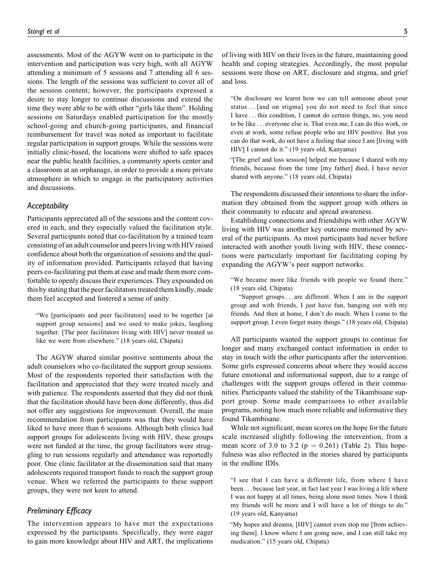assessments. Most of the AGYW went on to participate in the intervention and participation was very high, with all AGYW attending a minimum of 5 sessions and 7 attending all 6 sessions. The length of the sessions was sufficient to cover all of the session content; however, the participants expressed a desire to stay longer to continue discussions and extend the time they were able to be with other "girls like them". Holding sessions on Saturdays enabled participation for the mostly school-going and church-going participants, and financial reimbursement for travel was noted as important to facilitate regular participation in support groups. While the sessions were initially clinic-based, the locations were shifted to safe spaces near the public health facilities, a community sports center and a classroom at an orphanage, in order to provide a more private atmosphere in which to engage in the participatory activities and discussions.

#### *Acceptability*

Participants appreciated all of the sessions and the content covered in each, and they especially valued the facilitation style. Several participants noted that co-facilitation by a trained team consisting of an adult counselor and peers living with HIV raised confidence about both the organization of sessions and the quality of information provided. Participants relayed that having peers co-facilitating put them at ease and made them more comfortable to openly discuss their experiences. They expounded on this by stating that the peer facilitators treated them kindly, made them feel accepted and fostered a sense of unity.

"We [participants and peer facilitators] used to be together [at support group sessions] and we used to make jokes, laughing together. [The peer facilitators living with HIV] never treated us like we were from elsewhere." (18 years old, Chipata)

The AGYW shared similar positive sentiments about the adult counselors who co-facilitated the support group sessions. Most of the respondents reported their satisfaction with the facilitation and appreciated that they were treated nicely and with patience. The respondents asserted that they did not think that the facilitation should have been done differently, thus did not offer any suggestions for improvement. Overall, the main recommendation from participants was that they would have liked to have more than 6 sessions. Although both clinics had support groups for adolescents living with HIV, these groups were not funded at the time, the group facilitators were struggling to run sessions regularly and attendance was reportedly poor. One clinic facilitator at the dissemination said that many adolescents required transport funds to reach the support group venue. When we referred the participants to these support groups, they were not keen to attend.

## *Preliminary Efficacy*

The intervention appears to have met the expectations expressed by the participants. Specifically, they were eager to gain more knowledge about HIV and ART, the implications

of living with HIV on their lives in the future, maintaining good health and coping strategies. Accordingly, the most popular sessions were those on ART, disclosure and stigma, and grief and loss.

"On disclosure we learnt how we can tell someone about your status...[and on stigma] you do not need to feel that since I have ... this condition, I cannot do certain things, no, you need to be like ... everyone else is. That even me, I can do this work, or even at work, some refuse people who are HIV positive. But you can do that work, do not have a feeling that since I am [living with HIV] I cannot do it." (19 years old, Kanyama)

"[The grief and loss session] helped me because I shared with my friends, because from the time [my father] died, I have never shared with anyone." (18 years old, Chipata)

The respondents discussed their intentions to share the information they obtained from the support group with others in their community to educate and spread awareness.

Establishing connections and friendships with other AGYW living with HIV was another key outcome mentioned by several of the participants. As most participants had never before interacted with another youth living with HIV, these connections were particularly important for facilitating coping by expanding the AGYW's peer support networks.

"We became more like friends with people we found there." (18 years old, Chipata)

"Support groups... are different. When I am in the support group and with friends, I just have fun, hanging out with my friends. And then at home, I don't do much. When I come to the support group, I even forget many things." (18 years old, Chipata)

All participants wanted the support groups to continue for longer and many exchanged contact information in order to stay in touch with the other participants after the intervention. Some girls expressed concerns about where they would access future emotional and informational support, due to a range of challenges with the support groups offered in their communities. Participants valued the stability of the Tikambisane support group. Some made comparisons to other available programs, noting how much more reliable and informative they found Tikambisane.

While not significant, mean scores on the hope for the future scale increased slightly following the intervention, from a mean score of 3.0 to 3.2 ( $p = 0.261$ ) (Table 2). This hopefulness was also reflected in the stories shared by participants in the endline IDIs.

"I see that I can have a different life, from where I have been ... because last year, in fact last year I was living a life where I was not happy at all times, being alone most times. Now I think my friends will be more and I will have a lot of things to do." (19 years old, Kanyama)

"My hopes and dreams, [HIV] cannot even stop me [from achieving them]. I know where I am going now, and I can still take my medication." (15 years old, Chipata)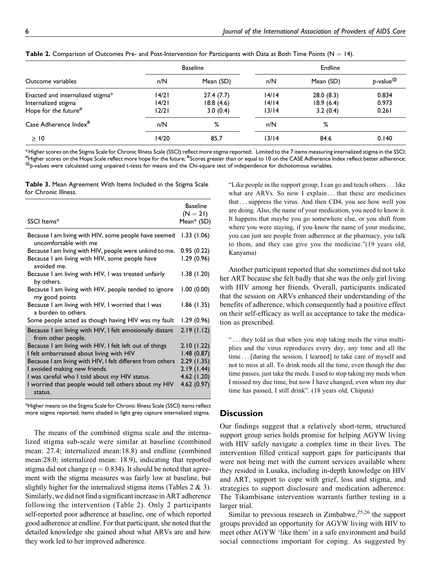|                                   |       | <b>Baseline</b> |       | Endline   |                                                      |  |
|-----------------------------------|-------|-----------------|-------|-----------|------------------------------------------------------|--|
| Outcome variables                 | n/N   | Mean (SD)       | n/N   | Mean (SD) | $p$ -value $^{\textcircled{\tiny{\textregistered}}}$ |  |
| Enacted and internalized stigma*  | 14/21 | 27.4(7.7)       | 14/14 | 28.0(8.3) | 0.834                                                |  |
| Internalized stigma               | 14/21 | 18.8(4.6)       | 14/14 | 18.9(6.4) | 0.973                                                |  |
| Hope for the future $^{\#}$       | 12/21 | 3.0(0.4)        | 13/14 | 3.2(0.4)  | 0.261                                                |  |
| Case Adherence Index <sup>*</sup> | n/N   | %               | n/N   | %         |                                                      |  |
| $\geq$ 10                         | 14/20 | 85.7            | 13/14 | 84.6      | 0.140                                                |  |

**Table 2.** Comparison of Outcomes Pre- and Post-Intervention for Participants with Data at Both Time Points ( $N = 14$ ).

 $*$ Higher scores on the Stigma Scale for Chronic Illness Scale (SSCI) reflect more stigma reported;  $\hat{}$  Limited to the 7 items measuring internalized stigma in the SSCI;  $*$  items measuring internalized stigma in the SS Higher scores on the Hope Scale reflect more hope for the future; <sup>&</sup>Scores greater than or equal to 10 on the CASE Adherence Index reflect better adherence; @*p*-values were calculated using unpaired t-tests for means and the Chi-square test of independence for dichotomous variables.

**Table 3.** Mean Agreement With Items Included in the Stigma Scale for Chronic Illness.

| SSCI Items*                                                                    | <b>Baseline</b><br>$(N = 21)$<br>Mean* (SD) |
|--------------------------------------------------------------------------------|---------------------------------------------|
| Because I am living with HIV, some people have seemed<br>uncomfortable with me | 1.33(1.06)                                  |
| Because I am living with HIV, people were unkind to me.                        | 0.95(0.22)                                  |
| Because I am living with HIV, some people have<br>avoided me.                  | 1.29(0.96)                                  |
| Because I am living with HIV, I was treated unfairly<br>by others.             | 1.38(1.20)                                  |
| Because I am living with HIV, people tended to ignore<br>my good points        | 1.00(0.00)                                  |
| Because I am living with HIV, I worried that I was<br>a burden to others.      | 1.86(1.35)                                  |
| Some people acted as though having HIV was my fault                            | 1.29(0.96)                                  |
| Because I am living with HIV, I felt emotionally distant<br>from other people. | 2.19(1.12)                                  |
| Because I am living with HIV, I felt left out of things                        | 2.10(1.22)                                  |
| I felt embarrassed about living with HIV                                       | 1.48(0.87)                                  |
| Because I am living with HIV, I felt different from others                     | 2.29(1.35)                                  |
| I avoided making new friends.                                                  | 2.19(1.44)                                  |
| I was careful who I told about my HIV status.                                  | 4.62(1.20)                                  |
| I worried that people would tell others about my HIV<br>status.                | 4.62(0.97)                                  |

\*Higher means on the Stigma Scale for Chronic Illness Scale (SSCI) items reflect more stigma reported; items shaded in light grey capture internalized stigma.

The means of the combined stigma scale and the internalized stigma sub-scale were similar at baseline (combined mean: 27.4; internalized mean:18.8) and endline (combined mean:28.0; internalized mean: 18.9), indicating that reported stigma did not change ( $p = 0.834$ ). It should be noted that agreement with the stigma measures was fairly low at baseline, but slightly higher for the internalized stigma items (Tables 2 & 3). Similarly, we did not find a significant increase in ART adherence following the intervention (Table 2). Only 2 participants self-reported poor adherence at baseline, one of which reported good adherence at endline. For that participant, she noted that the detailed knowledge she gained about what ARVs are and how they work led to her improved adherence.

"Like people in the support group, I can go and teach others... like what are ARVs. So now I explain ... that these are medicines that ...suppress the virus. And then CD4, you see how well you are doing. Also, the name of your medication, you need to know it. It happens that maybe you go somewhere else, or you shift from where you were staying, if you know the name of your medicine, you can just see people from adherence at the pharmacy, you talk to them, and they can give you the medicine."(19 years old, Kanyama)

Another participant reported that she sometimes did not take her ART because she felt badly that she was the only girl living with HIV among her friends. Overall, participants indicated that the session on ARVs enhanced their understanding of the benefits of adherence, which consequently had a positive effect on their self-efficacy as well as acceptance to take the medication as prescribed.

" ... they told us that when you stop taking meds the virus multiplies and the virus reproduces every day, any time and all the time ... [during the session, I learned] to take care of myself and not to miss at all. To drink meds all the time, even though the due time passes, just take the meds. I used to stop taking my meds when I missed my due time, but now I have changed, even when my due time has passed, I still drink". (18 years old, Chipata)

## **Discussion**

Our findings suggest that a relatively short-term, structured support group series holds promise for helping AGYW living with HIV safely navigate a complex time in their lives. The intervention filled critical support gaps for participants that were not being met with the current services available where they resided in Lusaka, including in-depth knowledge on HIV and ART, support to cope with grief, loss and stigma, and strategies to support disclosure and medication adherence. The Tikambisane intervention warrants further testing in a larger trial.

Similar to previous research in Zimbabwe,  $25,26$  the support groups provided an opportunity for AGYW living with HIV to meet other AGYW 'like them' in a safe environment and build social connections important for coping. As suggested by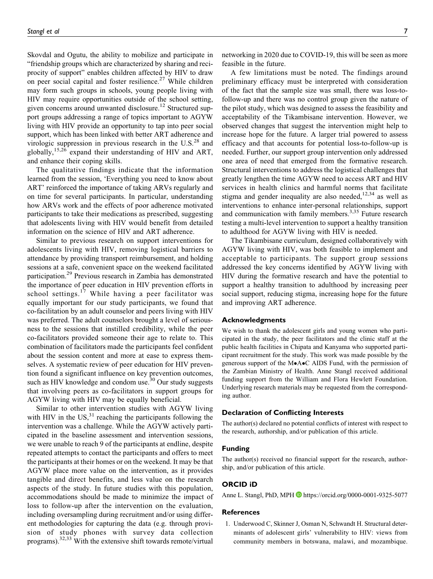Skovdal and Ogutu, the ability to mobilize and participate in "friendship groups which are characterized by sharing and reciprocity of support" enables children affected by HIV to draw on peer social capital and foster resilience.<sup>27</sup> While children may form such groups in schools, young people living with HIV may require opportunities outside of the school setting, given concerns around unwanted disclosure.<sup>12</sup> Structured support groups addressing a range of topics important to AGYW living with HIV provide an opportunity to tap into peer social support, which has been linked with better ART adherence and virologic suppression in previous research in the  $U.S.^{28}$  and globally,<sup>15,26</sup> expand their understanding of HIV and ART, and enhance their coping skills.

The qualitative findings indicate that the information learned from the session, 'Everything you need to know about ART' reinforced the importance of taking ARVs regularly and on time for several participants. In particular, understanding how ARVs work and the effects of poor adherence motivated participants to take their medications as prescribed, suggesting that adolescents living with HIV would benefit from detailed information on the science of HIV and ART adherence.

Similar to previous research on support interventions for adolescents living with HIV, removing logistical barriers to attendance by providing transport reimbursement, and holding sessions at a safe, convenient space on the weekend facilitated participation.<sup>29</sup> Previous research in Zambia has demonstrated the importance of peer education in HIV prevention efforts in school settings.<sup>17</sup> While having a peer facilitator was equally important for our study participants, we found that co-facilitation by an adult counselor and peers living with HIV was preferred. The adult counselors brought a level of seriousness to the sessions that instilled credibility, while the peer co-facilitators provided someone their age to relate to. This combination of facilitators made the participants feel confident about the session content and more at ease to express themselves. A systematic review of peer education for HIV prevention found a significant influence on key prevention outcomes, such as HIV knowledge and condom use. $30$  Our study suggests that involving peers as co-facilitators in support groups for AGYW living with HIV may be equally beneficial.

Similar to other intervention studies with AGYW living with HIV in the  $US<sub>1</sub><sup>31</sup>$  reaching the participants following the intervention was a challenge. While the AGYW actively participated in the baseline assessment and intervention sessions, we were unable to reach 9 of the participants at endline, despite repeated attempts to contact the participants and offers to meet the participants at their homes or on the weekend. It may be that AGYW place more value on the intervention, as it provides tangible and direct benefits, and less value on the research aspects of the study. In future studies with this population, accommodations should be made to minimize the impact of loss to follow-up after the intervention on the evaluation, including oversampling during recruitment and/or using different methodologies for capturing the data (e.g. through provision of study phones with survey data collection programs).<sup>32,33</sup> With the extensive shift towards remote/virtual networking in 2020 due to COVID-19, this will be seen as more feasible in the future.

A few limitations must be noted. The findings around preliminary efficacy must be interpreted with consideration of the fact that the sample size was small, there was loss-tofollow-up and there was no control group given the nature of the pilot study, which was designed to assess the feasibility and acceptability of the Tikambisane intervention. However, we observed changes that suggest the intervention might help to increase hope for the future. A larger trial powered to assess efficacy and that accounts for potential loss-to-follow-up is needed. Further, our support group intervention only addressed one area of need that emerged from the formative research. Structural interventions to address the logistical challenges that greatly lengthen the time AGYW need to access ART and HIV services in health clinics and harmful norms that facilitate stigma and gender inequality are also needed,  $12,34$  as well as interventions to enhance inter-personal relationships, support and communication with family members.<sup>3,35</sup> Future research testing a multi-level intervention to support a healthy transition to adulthood for AGYW living with HIV is needed.

The Tikambisane curriculum, designed collaboratively with AGYW living with HIV, was both feasible to implement and acceptable to participants. The support group sessions addressed the key concerns identified by AGYW living with HIV during the formative research and have the potential to support a healthy transition to adulthood by increasing peer social support, reducing stigma, increasing hope for the future and improving ART adherence.

#### **Acknowledgments**

We wish to thank the adolescent girls and young women who participated in the study, the peer facilitators and the clinic staff at the public health facilities in Chipata and Kanyama who supported participant recruitment for the study. This work was made possible by the generous support of the M•A•C AIDS Fund, with the permission of the Zambian Ministry of Health. Anne Stangl received additional funding support from the William and Flora Hewlett Foundation. Underlying research materials may be requested from the corresponding author.

#### **Declaration of Conflicting Interests**

The author(s) declared no potential conflicts of interest with respect to the research, authorship, and/or publication of this article.

#### **Funding**

The author(s) received no financial support for the research, authorship, and/or publication of this article.

#### **ORCID iD**

Anne L. Stangl, PhD, MPH **b** <https://orcid.org/0000-0001-9325-5077>

#### **References**

1. Underwood C, Skinner J, Osman N, Schwandt H. Structural determinants of adolescent girls' vulnerability to HIV: views from community members in botswana, malawi, and mozambique.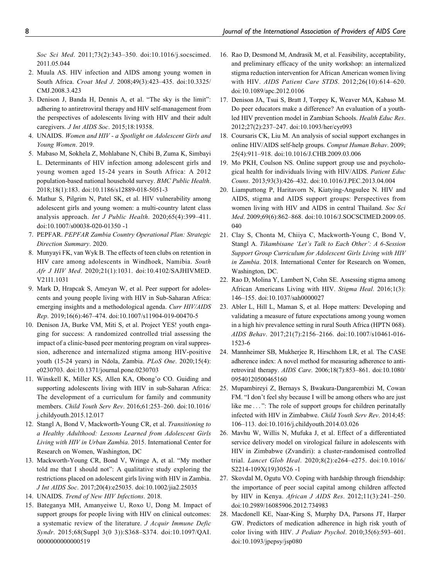Soc Sci Med. 2011;73(2):343–350. doi:10.1016/j.socscimed. 2011.05.044

- 2. Muula AS. HIV infection and AIDS among young women in South Africa. Croat Med J. 2008;49(3):423–435. doi:10.3325/ CMJ.2008.3.423
- 3. Denison J, Banda H, Dennis A, et al. "The sky is the limit": adhering to antiretroviral therapy and HIV self-management from the perspectives of adolescents living with HIV and their adult caregivers. J Int AIDS Soc. 2015;18:19358.
- 4. UNAIDS. Women and HIV a Spotlight on Adolescent Girls and Young Women. 2019.
- 5. Mabaso M, Sokhela Z, Mohlabane N, Chibi B, Zuma K, Simbayi L. Determinants of HIV infection among adolescent girls and young women aged 15-24 years in South Africa: A 2012 population-based national household survey. BMC Public Health. 2018;18(1):183. doi:10.1186/s12889-018-5051-3
- 6. Mathur S, Pilgrim N, Patel SK, et al. HIV vulnerability among adolescent girls and young women: a multi-country latent class analysis approach. Int J Public Health. 2020;65(4):399–411. doi:10.1007/s00038-020-01350 -1
- 7. PEPFAR. PEPFAR Zambia Country Operational Plan: Strategic Direction Summary. 2020.
- 8. Munyayi FK, van Wyk B. The effects of teen clubs on retention in HIV care among adolescents in Windhoek, Namibia. South Afr J HIV Med. 2020;21(1):1031. doi:10.4102/SAJHIVMED. V21I1.1031
- 9. Mark D, Hrapcak S, Ameyan W, et al. Peer support for adolescents and young people living with HIV in Sub-Saharan Africa: emerging insights and a methodological agenda. Curr HIV/AIDS Rep. 2019;16(6):467–474. doi:10.1007/s11904-019-00470-5
- 10. Denison JA, Burke VM, Miti S, et al. Project YES! youth engaging for success: A randomized controlled trial assessing the impact of a clinic-based peer mentoring program on viral suppression, adherence and internalized stigma among HIV-positive youth (15-24 years) in Ndola, Zambia. PLoS One. 2020;15(4): e0230703. doi:10.1371/journal.pone.0230703
- 11. Winskell K, Miller KS, Allen KA, Obong'o CO. Guiding and supporting adolescents living with HIV in sub-Saharan Africa: The development of a curriculum for family and community members. Child Youth Serv Rev. 2016;61:253–260. doi:10.1016/ j.childyouth.2015.12.017
- 12. Stangl A, Bond V, Mackworth-Young CR, et al. Transitioning to a Healthy Adulthood: Lessons Learned from Adolescent Girls Living with HIV in Urban Zambia. 2015. International Center for Research on Women, Washington, DC
- 13. Mackworth-Young CR, Bond V, Wringe A, et al. "My mother told me that I should not": A qualitative study exploring the restrictions placed on adolescent girls living with HIV in Zambia. J Int AIDS Soc. 2017;20(4):e25035. doi:10.1002/jia2.25035
- 14. UNAIDS. Trend of New HIV Infections. 2018.
- 15. Bateganya MH, Amanyeiwe U, Roxo U, Dong M. Impact of support groups for people living with HIV on clinical outcomes: a systematic review of the literature. J Acquir Immune Defic Syndr. 2015;68(Suppl 3(0 3)):S368–S374. doi:10.1097/QAI. 0000000000000000519
- 16. Rao D, Desmond M, Andrasik M, et al. Feasibility, acceptability, and preliminary efficacy of the unity workshop: an internalized stigma reduction intervention for African American women living with HIV. AIDS Patient Care STDS. 2012;26(10):614–620. doi:10.1089/apc.2012.0106
- 17. Denison JA, Tsui S, Bratt J, Torpey K, Weaver MA, Kabaso M. Do peer educators make a difference? An evaluation of a youthled HIV prevention model in Zambian Schools. Health Educ Res. 2012;27(2):237–247. doi:10.1093/her/cyr093
- 18. Coursaris CK, Liu M. An analysis of social support exchanges in online HIV/AIDS self-help groups. Comput Human Behav. 2009; 25(4):911–918. doi:10.1016/J.CHB.2009.03.006
- 19. Mo PKH, Coulson NS. Online support group use and psychological health for individuals living with HIV/AIDS. Patient Educ Couns. 2013;93(3):426–432. doi:10.1016/J.PEC.2013.04.004
- 20. Liamputtong P, Haritavorn N, Kiatying-Angsulee N. HIV and AIDS, stigma and AIDS support groups: Perspectives from women living with HIV and AIDS in central Thailand. Soc Sci Med. 2009;69(6):862–868. doi:10.1016/J.SOCSCIMED.2009.05. 040
- 21. Clay S, Chonta M, Chiiya C, Mackworth-Young C, Bond V, Stangl A. Tikambisane 'Let's Talk to Each Other': A 6-Session Support Group Curriculum for Adolescent Girls Living with HIV in Zambia. 2018. International Center for Research on Women, Washington, DC.
- 22. Rao D, Molina Y, Lambert N, Cohn SE. Assessing stigma among African Americans Living with HIV. Stigma Heal. 2016;1(3): 146–155. doi:10.1037/sah0000027
- 23. Abler L, Hill L, Maman S, et al. Hope matters: Developing and validating a measure of future expectations among young women in a high hiv prevalence setting in rural South Africa (HPTN 068). AIDS Behav. 2017;21(7):2156–2166. doi:10.1007/s10461-016- 1523-6
- 24. Mannheimer SB, Mukherjee R, Hirschhorn LR, et al. The CASE adherence index: A novel method for measuring adherence to antiretroviral therapy. AIDS Care. 2006;18(7):853–861. doi:10.1080/ 09540120500465160
- 25. Mupambireyi Z, Bernays S, Bwakura-Dangarembizi M, Cowan FM. "I don't feel shy because I will be among others who are just like me ...": The role of support groups for children perinatally infected with HIV in Zimbabwe. Child Youth Serv Rev. 2014;45: 106–113. doi:10.1016/j.childyouth.2014.03.026
- 26. Mavhu W, Willis N, Mufuka J, et al. Effect of a differentiated service delivery model on virological failure in adolescents with HIV in Zimbabwe (Zvandiri): a cluster-randomised controlled trial. Lancet Glob Heal. 2020;8(2):e264–e275. doi:10.1016/ S2214-109X(19)30526 -1
- 27. Skovdal M, Ogutu VO. Coping with hardship through friendship: the importance of peer social capital among children affected by HIV in Kenya. African J AIDS Res. 2012;11(3):241–250. doi:10.2989/16085906.2012.734983
- 28. Macdonell KE, Naar-King S, Murphy DA, Parsons JT, Harper GW. Predictors of medication adherence in high risk youth of color living with HIV. J Pediatr Psychol. 2010;35(6):593–601. doi:10.1093/jpepsy/jsp080